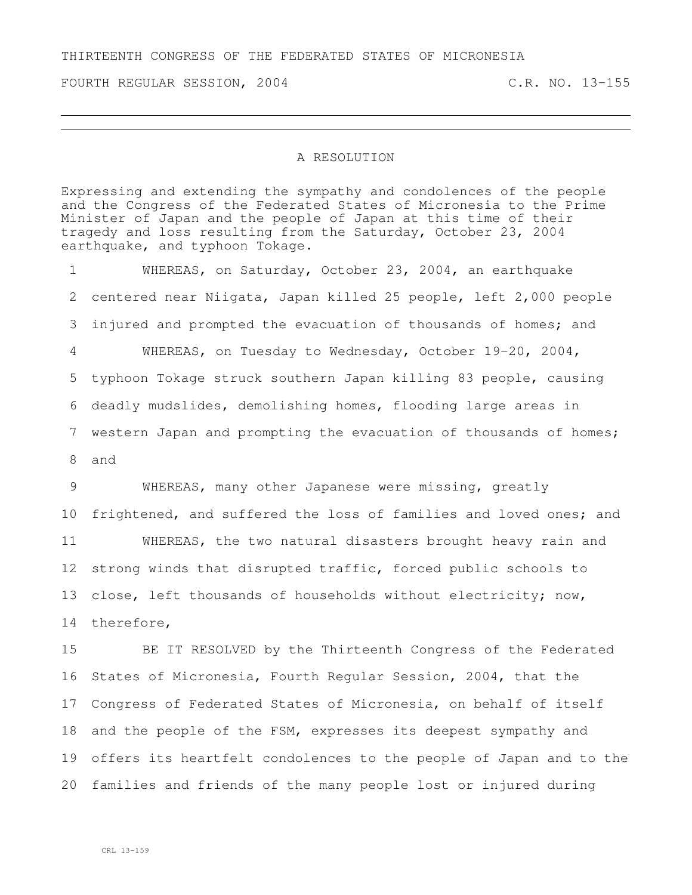## THIRTEENTH CONGRESS OF THE FEDERATED STATES OF MICRONESIA

FOURTH REGULAR SESSION, 2004 C.R. NO. 13-155

## A RESOLUTION

Expressing and extending the sympathy and condolences of the people and the Congress of the Federated States of Micronesia to the Prime Minister of Japan and the people of Japan at this time of their tragedy and loss resulting from the Saturday, October 23, 2004 earthquake, and typhoon Tokage.

 WHEREAS, on Saturday, October 23, 2004, an earthquake centered near Niigata, Japan killed 25 people, left 2,000 people injured and prompted the evacuation of thousands of homes; and WHEREAS, on Tuesday to Wednesday, October 19-20, 2004, typhoon Tokage struck southern Japan killing 83 people, causing deadly mudslides, demolishing homes, flooding large areas in western Japan and prompting the evacuation of thousands of homes; and

 WHEREAS, many other Japanese were missing, greatly frightened, and suffered the loss of families and loved ones; and WHEREAS, the two natural disasters brought heavy rain and strong winds that disrupted traffic, forced public schools to 13 close, left thousands of households without electricity; now, therefore,

 BE IT RESOLVED by the Thirteenth Congress of the Federated States of Micronesia, Fourth Regular Session, 2004, that the Congress of Federated States of Micronesia, on behalf of itself and the people of the FSM, expresses its deepest sympathy and offers its heartfelt condolences to the people of Japan and to the families and friends of the many people lost or injured during